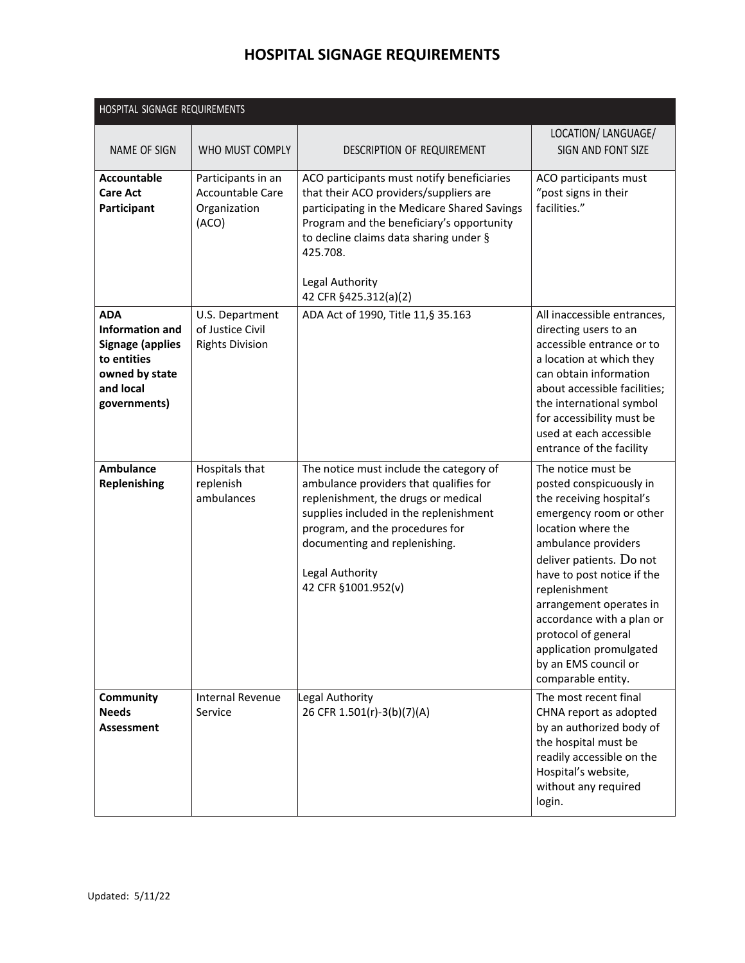| HOSPITAL SIGNAGE REQUIREMENTS                                                                                                 |                                                                 |                                                                                                                                                                                                                                                                                     |                                                                                                                                                                                                                                                                                                                                                                                      |  |
|-------------------------------------------------------------------------------------------------------------------------------|-----------------------------------------------------------------|-------------------------------------------------------------------------------------------------------------------------------------------------------------------------------------------------------------------------------------------------------------------------------------|--------------------------------------------------------------------------------------------------------------------------------------------------------------------------------------------------------------------------------------------------------------------------------------------------------------------------------------------------------------------------------------|--|
| NAME OF SIGN                                                                                                                  | WHO MUST COMPLY                                                 | DESCRIPTION OF REQUIREMENT                                                                                                                                                                                                                                                          | LOCATION/ LANGUAGE/<br>SIGN AND FONT SIZE                                                                                                                                                                                                                                                                                                                                            |  |
| <b>Accountable</b><br><b>Care Act</b><br>Participant                                                                          | Participants in an<br>Accountable Care<br>Organization<br>(ACO) | ACO participants must notify beneficiaries<br>that their ACO providers/suppliers are<br>participating in the Medicare Shared Savings<br>Program and the beneficiary's opportunity<br>to decline claims data sharing under §<br>425.708.<br>Legal Authority<br>42 CFR §425.312(a)(2) | ACO participants must<br>"post signs in their<br>facilities."                                                                                                                                                                                                                                                                                                                        |  |
| <b>ADA</b><br><b>Information and</b><br><b>Signage (applies</b><br>to entities<br>owned by state<br>and local<br>governments) | U.S. Department<br>of Justice Civil<br><b>Rights Division</b>   | ADA Act of 1990, Title 11, § 35.163                                                                                                                                                                                                                                                 | All inaccessible entrances,<br>directing users to an<br>accessible entrance or to<br>a location at which they<br>can obtain information<br>about accessible facilities;<br>the international symbol<br>for accessibility must be<br>used at each accessible<br>entrance of the facility                                                                                              |  |
| <b>Ambulance</b><br>Replenishing                                                                                              | Hospitals that<br>replenish<br>ambulances                       | The notice must include the category of<br>ambulance providers that qualifies for<br>replenishment, the drugs or medical<br>supplies included in the replenishment<br>program, and the procedures for<br>documenting and replenishing.<br>Legal Authority<br>42 CFR §1001.952(v)    | The notice must be<br>posted conspicuously in<br>the receiving hospital's<br>emergency room or other<br>location where the<br>ambulance providers<br>deliver patients. Do not<br>have to post notice if the<br>replenishment<br>arrangement operates in<br>accordance with a plan or<br>protocol of general<br>application promulgated<br>by an EMS council or<br>comparable entity. |  |
| Community<br><b>Needs</b><br><b>Assessment</b>                                                                                | <b>Internal Revenue</b><br>Service                              | Legal Authority<br>26 CFR 1.501(r)-3(b)(7)(A)                                                                                                                                                                                                                                       | The most recent final<br>CHNA report as adopted<br>by an authorized body of<br>the hospital must be<br>readily accessible on the<br>Hospital's website,<br>without any required<br>login.                                                                                                                                                                                            |  |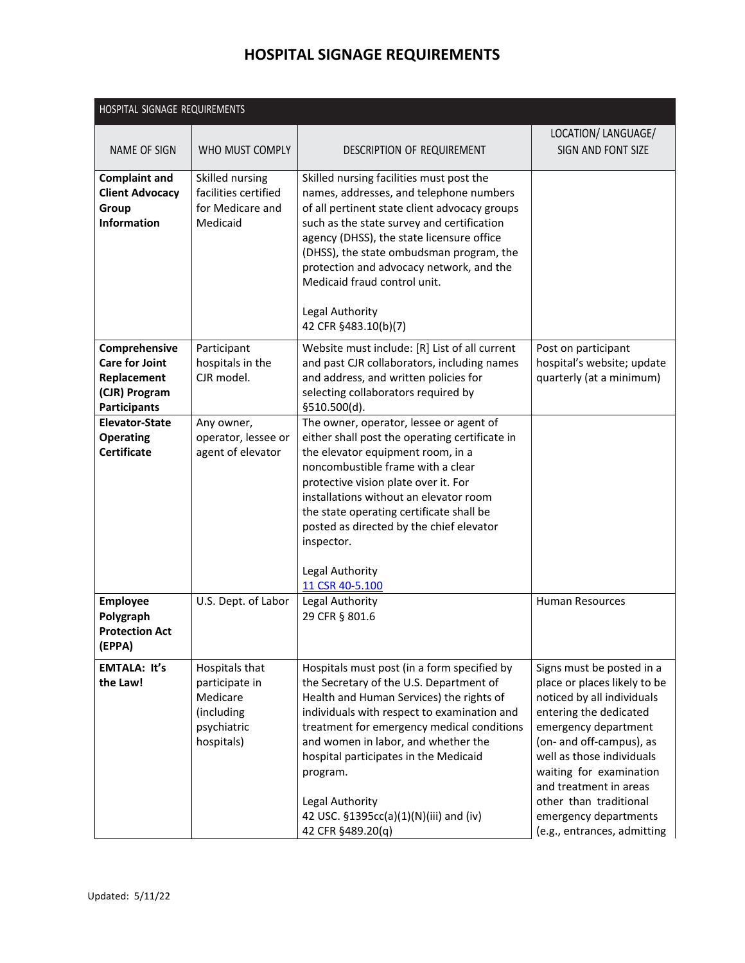| HOSPITAL SIGNAGE REQUIREMENTS                                                                 |                                                                                         |                                                                                                                                                                                                                                                                                                                                                                                                               |                                                                                                                                                                                                                                                                                                                                           |
|-----------------------------------------------------------------------------------------------|-----------------------------------------------------------------------------------------|---------------------------------------------------------------------------------------------------------------------------------------------------------------------------------------------------------------------------------------------------------------------------------------------------------------------------------------------------------------------------------------------------------------|-------------------------------------------------------------------------------------------------------------------------------------------------------------------------------------------------------------------------------------------------------------------------------------------------------------------------------------------|
| NAME OF SIGN                                                                                  | WHO MUST COMPLY                                                                         | DESCRIPTION OF REQUIREMENT                                                                                                                                                                                                                                                                                                                                                                                    | LOCATION/ LANGUAGE/<br>SIGN AND FONT SIZE                                                                                                                                                                                                                                                                                                 |
| <b>Complaint and</b><br><b>Client Advocacy</b><br>Group<br><b>Information</b>                 | Skilled nursing<br>facilities certified<br>for Medicare and<br>Medicaid                 | Skilled nursing facilities must post the<br>names, addresses, and telephone numbers<br>of all pertinent state client advocacy groups<br>such as the state survey and certification<br>agency (DHSS), the state licensure office<br>(DHSS), the state ombudsman program, the<br>protection and advocacy network, and the<br>Medicaid fraud control unit.<br>Legal Authority<br>42 CFR §483.10(b)(7)            |                                                                                                                                                                                                                                                                                                                                           |
| Comprehensive<br><b>Care for Joint</b><br>Replacement<br>(CJR) Program<br><b>Participants</b> | Participant<br>hospitals in the<br>CJR model.                                           | Website must include: [R] List of all current<br>and past CJR collaborators, including names<br>and address, and written policies for<br>selecting collaborators required by<br>§510.500(d).                                                                                                                                                                                                                  | Post on participant<br>hospital's website; update<br>quarterly (at a minimum)                                                                                                                                                                                                                                                             |
| <b>Elevator-State</b><br><b>Operating</b><br><b>Certificate</b>                               | Any owner,<br>operator, lessee or<br>agent of elevator                                  | The owner, operator, lessee or agent of<br>either shall post the operating certificate in<br>the elevator equipment room, in a<br>noncombustible frame with a clear<br>protective vision plate over it. For<br>installations without an elevator room<br>the state operating certificate shall be<br>posted as directed by the chief elevator<br>inspector.<br>Legal Authority<br>11 CSR 40-5.100             |                                                                                                                                                                                                                                                                                                                                           |
| <b>Employee</b><br>Polygraph<br><b>Protection Act</b><br>(EPPA)                               | U.S. Dept. of Labor                                                                     | Legal Authority<br>29 CFR § 801.6                                                                                                                                                                                                                                                                                                                                                                             | <b>Human Resources</b>                                                                                                                                                                                                                                                                                                                    |
| <b>EMTALA: It's</b><br>the Law!                                                               | Hospitals that<br>participate in<br>Medicare<br>(including<br>psychiatric<br>hospitals) | Hospitals must post (in a form specified by<br>the Secretary of the U.S. Department of<br>Health and Human Services) the rights of<br>individuals with respect to examination and<br>treatment for emergency medical conditions<br>and women in labor, and whether the<br>hospital participates in the Medicaid<br>program.<br>Legal Authority<br>42 USC. §1395cc(a)(1)(N)(iii) and (iv)<br>42 CFR §489.20(q) | Signs must be posted in a<br>place or places likely to be<br>noticed by all individuals<br>entering the dedicated<br>emergency department<br>(on- and off-campus), as<br>well as those individuals<br>waiting for examination<br>and treatment in areas<br>other than traditional<br>emergency departments<br>(e.g., entrances, admitting |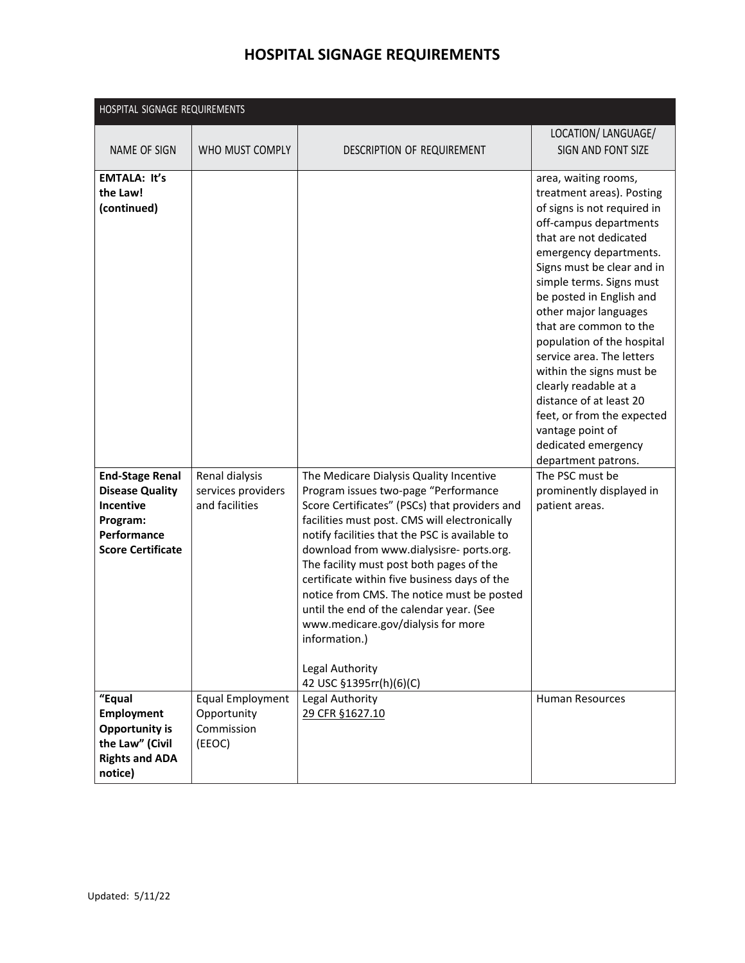| HOSPITAL SIGNAGE REQUIREMENTS                                                                                               |                                                                |                                                                                                                                                                                                                                                                                                                                                                                                                                                                                                                                                                           |                                                                                                                                                                                                                                                                                                                                                                                                                                                                                                                                                    |
|-----------------------------------------------------------------------------------------------------------------------------|----------------------------------------------------------------|---------------------------------------------------------------------------------------------------------------------------------------------------------------------------------------------------------------------------------------------------------------------------------------------------------------------------------------------------------------------------------------------------------------------------------------------------------------------------------------------------------------------------------------------------------------------------|----------------------------------------------------------------------------------------------------------------------------------------------------------------------------------------------------------------------------------------------------------------------------------------------------------------------------------------------------------------------------------------------------------------------------------------------------------------------------------------------------------------------------------------------------|
| NAME OF SIGN                                                                                                                | WHO MUST COMPLY                                                | DESCRIPTION OF REQUIREMENT                                                                                                                                                                                                                                                                                                                                                                                                                                                                                                                                                | LOCATION/ LANGUAGE/<br>SIGN AND FONT SIZE                                                                                                                                                                                                                                                                                                                                                                                                                                                                                                          |
| <b>EMTALA: It's</b><br>the Law!<br>(continued)                                                                              |                                                                |                                                                                                                                                                                                                                                                                                                                                                                                                                                                                                                                                                           | area, waiting rooms,<br>treatment areas). Posting<br>of signs is not required in<br>off-campus departments<br>that are not dedicated<br>emergency departments.<br>Signs must be clear and in<br>simple terms. Signs must<br>be posted in English and<br>other major languages<br>that are common to the<br>population of the hospital<br>service area. The letters<br>within the signs must be<br>clearly readable at a<br>distance of at least 20<br>feet, or from the expected<br>vantage point of<br>dedicated emergency<br>department patrons. |
| <b>End-Stage Renal</b><br><b>Disease Quality</b><br><b>Incentive</b><br>Program:<br>Performance<br><b>Score Certificate</b> | Renal dialysis<br>services providers<br>and facilities         | The Medicare Dialysis Quality Incentive<br>Program issues two-page "Performance<br>Score Certificates" (PSCs) that providers and<br>facilities must post. CMS will electronically<br>notify facilities that the PSC is available to<br>download from www.dialysisre-ports.org.<br>The facility must post both pages of the<br>certificate within five business days of the<br>notice from CMS. The notice must be posted<br>until the end of the calendar year. (See<br>www.medicare.gov/dialysis for more<br>information.)<br>Legal Authority<br>42 USC §1395rr(h)(6)(C) | The PSC must be<br>prominently displayed in<br>patient areas.                                                                                                                                                                                                                                                                                                                                                                                                                                                                                      |
| "Equal<br><b>Employment</b><br><b>Opportunity is</b><br>the Law" (Civil<br><b>Rights and ADA</b><br>notice)                 | <b>Equal Employment</b><br>Opportunity<br>Commission<br>(EEOC) | Legal Authority<br>29 CFR §1627.10                                                                                                                                                                                                                                                                                                                                                                                                                                                                                                                                        | <b>Human Resources</b>                                                                                                                                                                                                                                                                                                                                                                                                                                                                                                                             |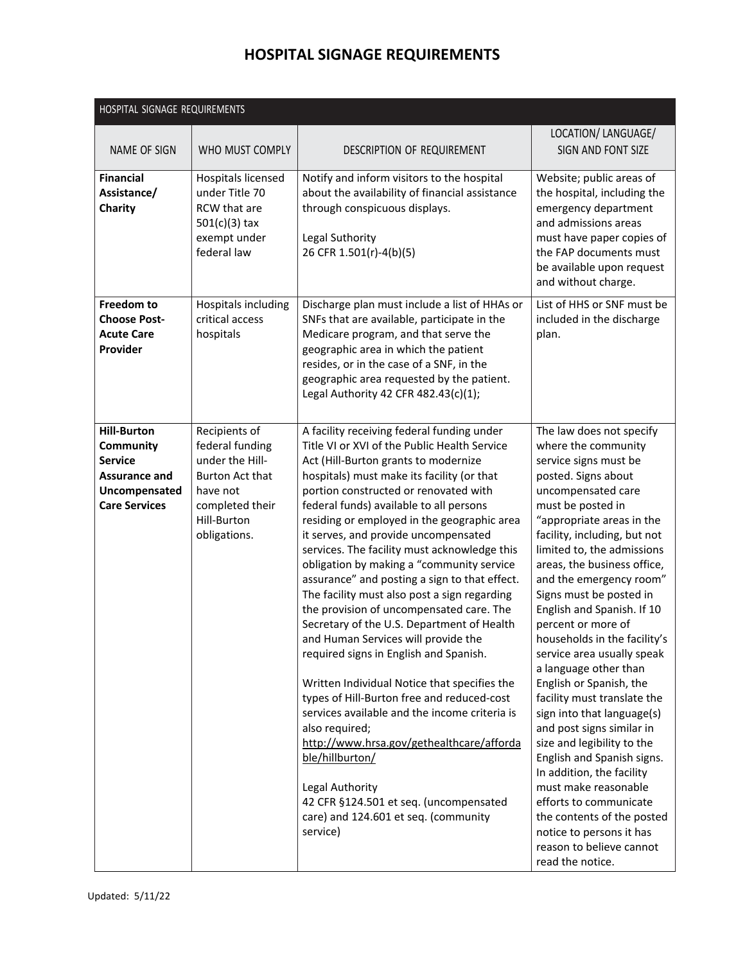|                                                                                                                    | HOSPITAL SIGNAGE REQUIREMENTS                                                                                                        |                                                                                                                                                                                                                                                                                                                                                                                                                                                                                                                                                                                                                                                                                                                                                                                                                                                                                                                                                                                                                                                                                        |                                                                                                                                                                                                                                                                                                                                                                                                                                                                                                                                                                                                                                                                                                                                                                                                                                                 |  |  |
|--------------------------------------------------------------------------------------------------------------------|--------------------------------------------------------------------------------------------------------------------------------------|----------------------------------------------------------------------------------------------------------------------------------------------------------------------------------------------------------------------------------------------------------------------------------------------------------------------------------------------------------------------------------------------------------------------------------------------------------------------------------------------------------------------------------------------------------------------------------------------------------------------------------------------------------------------------------------------------------------------------------------------------------------------------------------------------------------------------------------------------------------------------------------------------------------------------------------------------------------------------------------------------------------------------------------------------------------------------------------|-------------------------------------------------------------------------------------------------------------------------------------------------------------------------------------------------------------------------------------------------------------------------------------------------------------------------------------------------------------------------------------------------------------------------------------------------------------------------------------------------------------------------------------------------------------------------------------------------------------------------------------------------------------------------------------------------------------------------------------------------------------------------------------------------------------------------------------------------|--|--|
| NAME OF SIGN                                                                                                       | WHO MUST COMPLY                                                                                                                      | DESCRIPTION OF REQUIREMENT                                                                                                                                                                                                                                                                                                                                                                                                                                                                                                                                                                                                                                                                                                                                                                                                                                                                                                                                                                                                                                                             | LOCATION/ LANGUAGE/<br>SIGN AND FONT SIZE                                                                                                                                                                                                                                                                                                                                                                                                                                                                                                                                                                                                                                                                                                                                                                                                       |  |  |
| <b>Financial</b><br>Assistance/<br>Charity                                                                         | Hospitals licensed<br>under Title 70<br><b>RCW</b> that are<br>$501(c)(3)$ tax<br>exempt under<br>federal law                        | Notify and inform visitors to the hospital<br>about the availability of financial assistance<br>through conspicuous displays.<br>Legal Suthority<br>26 CFR 1.501(r)-4(b)(5)                                                                                                                                                                                                                                                                                                                                                                                                                                                                                                                                                                                                                                                                                                                                                                                                                                                                                                            | Website; public areas of<br>the hospital, including the<br>emergency department<br>and admissions areas<br>must have paper copies of<br>the FAP documents must<br>be available upon request<br>and without charge.                                                                                                                                                                                                                                                                                                                                                                                                                                                                                                                                                                                                                              |  |  |
| Freedom to<br><b>Choose Post-</b><br><b>Acute Care</b><br>Provider                                                 | Hospitals including<br>critical access<br>hospitals                                                                                  | Discharge plan must include a list of HHAs or<br>SNFs that are available, participate in the<br>Medicare program, and that serve the<br>geographic area in which the patient<br>resides, or in the case of a SNF, in the<br>geographic area requested by the patient.<br>Legal Authority 42 CFR 482.43(c)(1);                                                                                                                                                                                                                                                                                                                                                                                                                                                                                                                                                                                                                                                                                                                                                                          | List of HHS or SNF must be<br>included in the discharge<br>plan.                                                                                                                                                                                                                                                                                                                                                                                                                                                                                                                                                                                                                                                                                                                                                                                |  |  |
| <b>Hill-Burton</b><br>Community<br><b>Service</b><br><b>Assurance and</b><br>Uncompensated<br><b>Care Services</b> | Recipients of<br>federal funding<br>under the Hill-<br>Burton Act that<br>have not<br>completed their<br>Hill-Burton<br>obligations. | A facility receiving federal funding under<br>Title VI or XVI of the Public Health Service<br>Act (Hill-Burton grants to modernize<br>hospitals) must make its facility (or that<br>portion constructed or renovated with<br>federal funds) available to all persons<br>residing or employed in the geographic area<br>it serves, and provide uncompensated<br>services. The facility must acknowledge this<br>obligation by making a "community service<br>assurance" and posting a sign to that effect.<br>The facility must also post a sign regarding<br>the provision of uncompensated care. The<br>Secretary of the U.S. Department of Health<br>and Human Services will provide the<br>required signs in English and Spanish.<br>Written Individual Notice that specifies the<br>types of Hill-Burton free and reduced-cost<br>services available and the income criteria is<br>also required;<br>http://www.hrsa.gov/gethealthcare/afforda<br>ble/hillburton/<br>Legal Authority<br>42 CFR §124.501 et seq. (uncompensated<br>care) and 124.601 et seq. (community<br>service) | The law does not specify<br>where the community<br>service signs must be<br>posted. Signs about<br>uncompensated care<br>must be posted in<br>"appropriate areas in the<br>facility, including, but not<br>limited to, the admissions<br>areas, the business office,<br>and the emergency room"<br>Signs must be posted in<br>English and Spanish. If 10<br>percent or more of<br>households in the facility's<br>service area usually speak<br>a language other than<br>English or Spanish, the<br>facility must translate the<br>sign into that language(s)<br>and post signs similar in<br>size and legibility to the<br>English and Spanish signs.<br>In addition, the facility<br>must make reasonable<br>efforts to communicate<br>the contents of the posted<br>notice to persons it has<br>reason to believe cannot<br>read the notice. |  |  |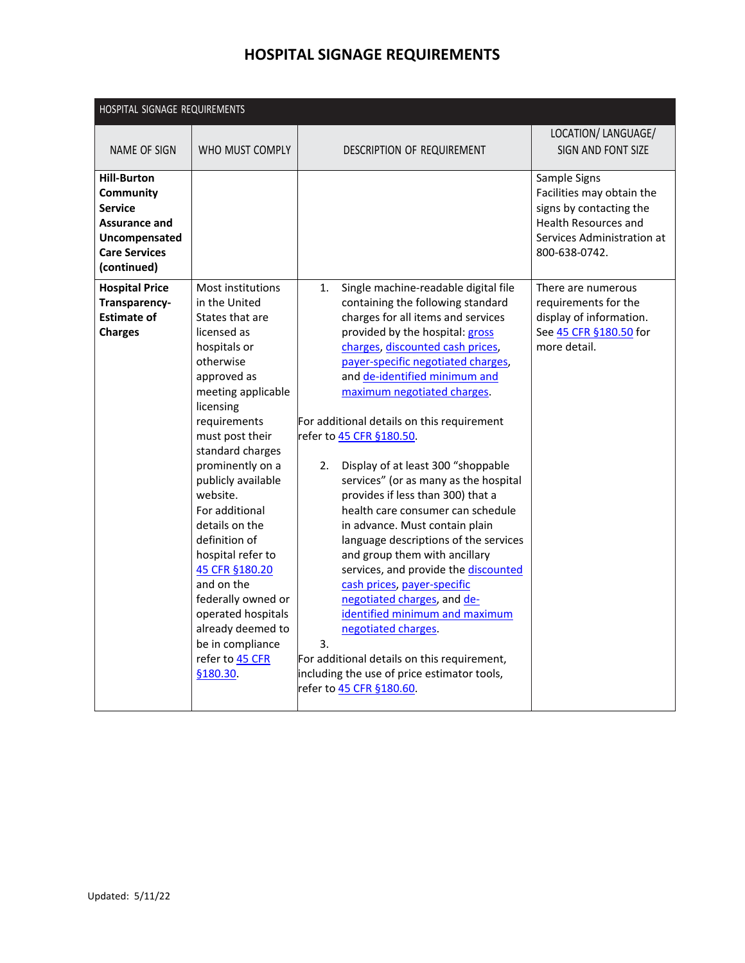| HOSPITAL SIGNAGE REQUIREMENTS                                                                                                     |                                                                                                                                                                                                                                                                                                                                                                                                                                                                                               |                                                                                                                                                                                                                                                                                                                                                                                                                                                                                                                                                                                                                                                                                                                                                                                                                                                                                                                                                        |                                                                                                                                                    |
|-----------------------------------------------------------------------------------------------------------------------------------|-----------------------------------------------------------------------------------------------------------------------------------------------------------------------------------------------------------------------------------------------------------------------------------------------------------------------------------------------------------------------------------------------------------------------------------------------------------------------------------------------|--------------------------------------------------------------------------------------------------------------------------------------------------------------------------------------------------------------------------------------------------------------------------------------------------------------------------------------------------------------------------------------------------------------------------------------------------------------------------------------------------------------------------------------------------------------------------------------------------------------------------------------------------------------------------------------------------------------------------------------------------------------------------------------------------------------------------------------------------------------------------------------------------------------------------------------------------------|----------------------------------------------------------------------------------------------------------------------------------------------------|
| NAME OF SIGN                                                                                                                      | WHO MUST COMPLY                                                                                                                                                                                                                                                                                                                                                                                                                                                                               | DESCRIPTION OF REQUIREMENT                                                                                                                                                                                                                                                                                                                                                                                                                                                                                                                                                                                                                                                                                                                                                                                                                                                                                                                             | LOCATION/ LANGUAGE/<br>SIGN AND FONT SIZE                                                                                                          |
| <b>Hill-Burton</b><br>Community<br><b>Service</b><br><b>Assurance and</b><br>Uncompensated<br><b>Care Services</b><br>(continued) |                                                                                                                                                                                                                                                                                                                                                                                                                                                                                               |                                                                                                                                                                                                                                                                                                                                                                                                                                                                                                                                                                                                                                                                                                                                                                                                                                                                                                                                                        | Sample Signs<br>Facilities may obtain the<br>signs by contacting the<br><b>Health Resources and</b><br>Services Administration at<br>800-638-0742. |
| <b>Hospital Price</b><br>Transparency-<br><b>Estimate of</b><br><b>Charges</b>                                                    | Most institutions<br>in the United<br>States that are<br>licensed as<br>hospitals or<br>otherwise<br>approved as<br>meeting applicable<br>licensing<br>requirements<br>must post their<br>standard charges<br>prominently on a<br>publicly available<br>website.<br>For additional<br>details on the<br>definition of<br>hospital refer to<br>45 CFR §180.20<br>and on the<br>federally owned or<br>operated hospitals<br>already deemed to<br>be in compliance<br>refer to 45 CFR<br>§180.30 | Single machine-readable digital file<br>1.<br>containing the following standard<br>charges for all items and services<br>provided by the hospital: gross<br>charges, discounted cash prices,<br>payer-specific negotiated charges,<br>and de-identified minimum and<br>maximum negotiated charges.<br>For additional details on this requirement<br>refer to 45 CFR §180.50.<br>Display of at least 300 "shoppable<br>2.<br>services" (or as many as the hospital<br>provides if less than 300) that a<br>health care consumer can schedule<br>in advance. Must contain plain<br>language descriptions of the services<br>and group them with ancillary<br>services, and provide the discounted<br>cash prices, payer-specific<br>negotiated charges, and de-<br>identified minimum and maximum<br>negotiated charges.<br>3.<br>For additional details on this requirement,<br>including the use of price estimator tools,<br>refer to 45 CFR §180.60. | There are numerous<br>requirements for the<br>display of information.<br>See 45 CFR §180.50 for<br>more detail.                                    |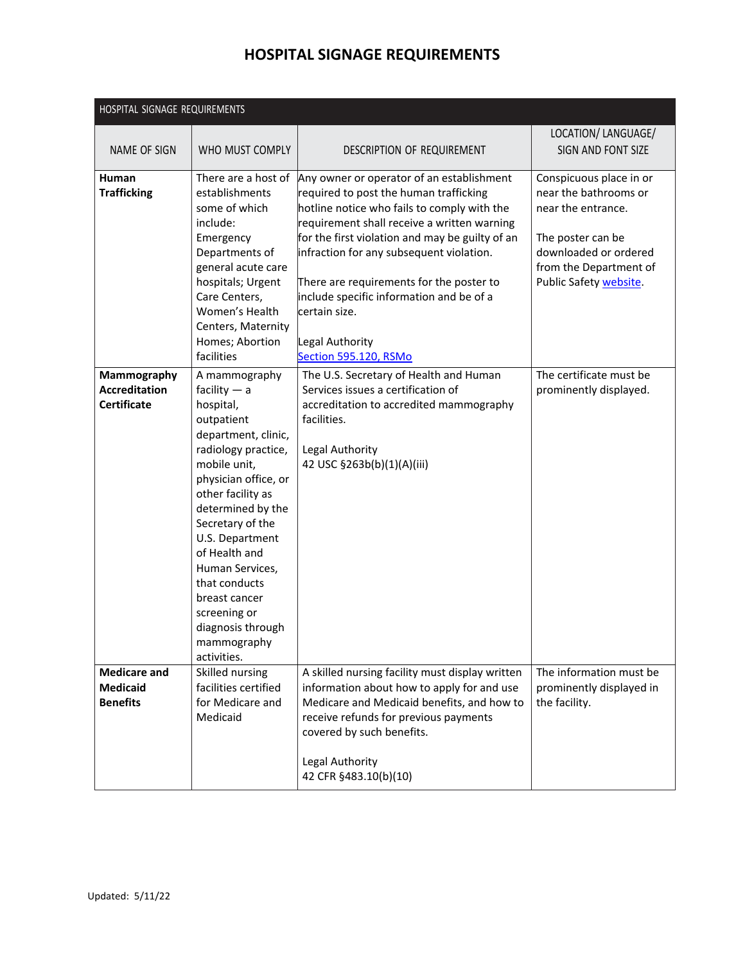| HOSPITAL SIGNAGE REQUIREMENTS                             |                                                                                                                                                                                                                                                                                                                                                                            |                                                                                                                                                                                                                                                                                                                                                                                                                                        |                                                                                                                                                                          |  |
|-----------------------------------------------------------|----------------------------------------------------------------------------------------------------------------------------------------------------------------------------------------------------------------------------------------------------------------------------------------------------------------------------------------------------------------------------|----------------------------------------------------------------------------------------------------------------------------------------------------------------------------------------------------------------------------------------------------------------------------------------------------------------------------------------------------------------------------------------------------------------------------------------|--------------------------------------------------------------------------------------------------------------------------------------------------------------------------|--|
| NAME OF SIGN                                              | WHO MUST COMPLY                                                                                                                                                                                                                                                                                                                                                            | DESCRIPTION OF REQUIREMENT                                                                                                                                                                                                                                                                                                                                                                                                             | LOCATION/ LANGUAGE/<br>SIGN AND FONT SIZE                                                                                                                                |  |
| Human<br><b>Trafficking</b>                               | There are a host of<br>establishments<br>some of which<br>include:<br>Emergency<br>Departments of<br>general acute care<br>hospitals; Urgent<br>Care Centers,<br>Women's Health<br>Centers, Maternity<br>Homes; Abortion<br>facilities                                                                                                                                     | Any owner or operator of an establishment<br>required to post the human trafficking<br>hotline notice who fails to comply with the<br>requirement shall receive a written warning<br>for the first violation and may be guilty of an<br>infraction for any subsequent violation.<br>There are requirements for the poster to<br>include specific information and be of a<br>lcertain size.<br>Legal Authority<br>Section 595.120, RSMo | Conspicuous place in or<br>near the bathrooms or<br>near the entrance.<br>The poster can be<br>downloaded or ordered<br>from the Department of<br>Public Safety website. |  |
| Mammography<br><b>Accreditation</b><br><b>Certificate</b> | A mammography<br>facility $-$ a<br>hospital,<br>outpatient<br>department, clinic,<br>radiology practice,<br>mobile unit,<br>physician office, or<br>other facility as<br>determined by the<br>Secretary of the<br>U.S. Department<br>of Health and<br>Human Services,<br>that conducts<br>breast cancer<br>screening or<br>diagnosis through<br>mammography<br>activities. | The U.S. Secretary of Health and Human<br>Services issues a certification of<br>accreditation to accredited mammography<br>facilities.<br>Legal Authority<br>42 USC §263b(b)(1)(A)(iii)                                                                                                                                                                                                                                                | The certificate must be<br>prominently displayed.                                                                                                                        |  |
| <b>Medicare and</b><br><b>Medicaid</b><br><b>Benefits</b> | Skilled nursing<br>facilities certified<br>for Medicare and<br>Medicaid                                                                                                                                                                                                                                                                                                    | A skilled nursing facility must display written<br>information about how to apply for and use<br>Medicare and Medicaid benefits, and how to<br>receive refunds for previous payments<br>covered by such benefits.<br>Legal Authority<br>42 CFR §483.10(b)(10)                                                                                                                                                                          | The information must be<br>prominently displayed in<br>the facility.                                                                                                     |  |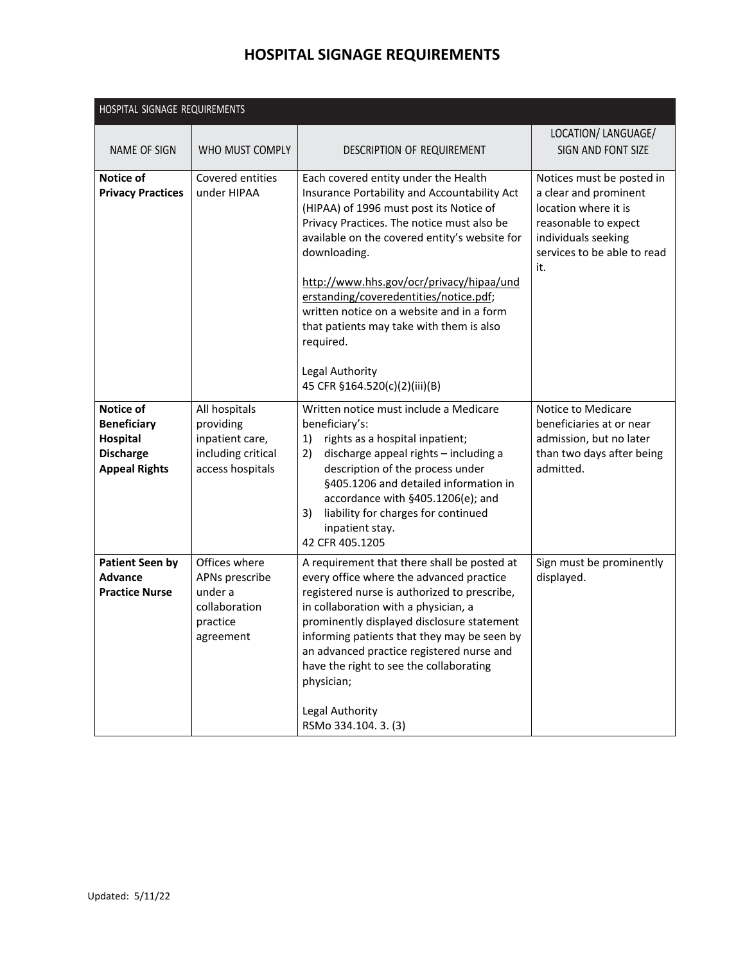| HOSPITAL SIGNAGE REQUIREMENTS                                                           |                                                                                         |                                                                                                                                                                                                                                                                                                                                                                                                                                                                                                |                                                                                                                                                                 |  |
|-----------------------------------------------------------------------------------------|-----------------------------------------------------------------------------------------|------------------------------------------------------------------------------------------------------------------------------------------------------------------------------------------------------------------------------------------------------------------------------------------------------------------------------------------------------------------------------------------------------------------------------------------------------------------------------------------------|-----------------------------------------------------------------------------------------------------------------------------------------------------------------|--|
| <b>NAME OF SIGN</b>                                                                     | WHO MUST COMPLY                                                                         | DESCRIPTION OF REQUIREMENT                                                                                                                                                                                                                                                                                                                                                                                                                                                                     | LOCATION/ LANGUAGE/<br>SIGN AND FONT SIZE                                                                                                                       |  |
| <b>Notice of</b><br><b>Privacy Practices</b>                                            | Covered entities<br>under HIPAA                                                         | Each covered entity under the Health<br>Insurance Portability and Accountability Act<br>(HIPAA) of 1996 must post its Notice of<br>Privacy Practices. The notice must also be<br>available on the covered entity's website for<br>downloading.<br>http://www.hhs.gov/ocr/privacy/hipaa/und<br>erstanding/coveredentities/notice.pdf;<br>written notice on a website and in a form<br>that patients may take with them is also<br>required.<br>Legal Authority<br>45 CFR §164.520(c)(2)(iii)(B) | Notices must be posted in<br>a clear and prominent<br>location where it is<br>reasonable to expect<br>individuals seeking<br>services to be able to read<br>it. |  |
| Notice of<br><b>Beneficiary</b><br>Hospital<br><b>Discharge</b><br><b>Appeal Rights</b> | All hospitals<br>providing<br>inpatient care,<br>including critical<br>access hospitals | Written notice must include a Medicare<br>beneficiary's:<br>rights as a hospital inpatient;<br>1)<br>discharge appeal rights - including a<br>2)<br>description of the process under<br>§405.1206 and detailed information in<br>accordance with §405.1206(e); and<br>liability for charges for continued<br>3)<br>inpatient stay.<br>42 CFR 405.1205                                                                                                                                          | Notice to Medicare<br>beneficiaries at or near<br>admission, but no later<br>than two days after being<br>admitted.                                             |  |
| <b>Patient Seen by</b><br><b>Advance</b><br><b>Practice Nurse</b>                       | Offices where<br>APNs prescribe<br>under a<br>collaboration<br>practice<br>agreement    | A requirement that there shall be posted at<br>every office where the advanced practice<br>registered nurse is authorized to prescribe,<br>in collaboration with a physician, a<br>prominently displayed disclosure statement<br>informing patients that they may be seen by<br>an advanced practice registered nurse and<br>have the right to see the collaborating<br>physician;<br>Legal Authority<br>RSMo 334.104. 3. (3)                                                                  | Sign must be prominently<br>displayed.                                                                                                                          |  |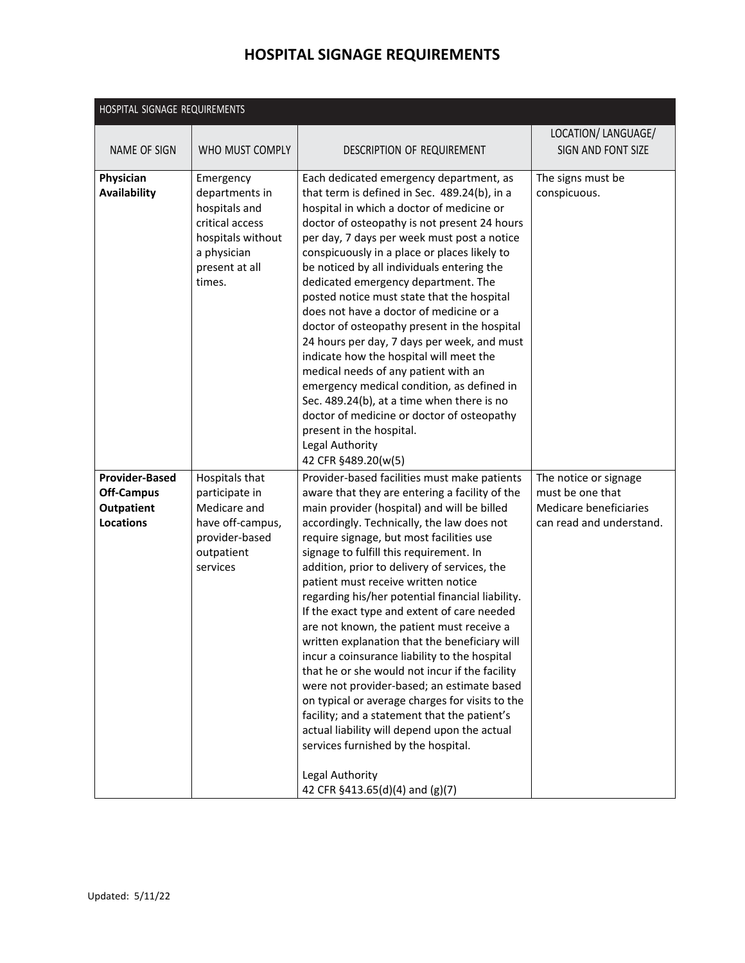| HOSPITAL SIGNAGE REQUIREMENTS              |                                                                                                                                 |                                                                                                                                                                                                                                                                                                                                                                                                                                                                                                                                                                                                                                                                                                                                                                                                                                                                     |                                           |
|--------------------------------------------|---------------------------------------------------------------------------------------------------------------------------------|---------------------------------------------------------------------------------------------------------------------------------------------------------------------------------------------------------------------------------------------------------------------------------------------------------------------------------------------------------------------------------------------------------------------------------------------------------------------------------------------------------------------------------------------------------------------------------------------------------------------------------------------------------------------------------------------------------------------------------------------------------------------------------------------------------------------------------------------------------------------|-------------------------------------------|
| NAME OF SIGN                               | WHO MUST COMPLY                                                                                                                 | DESCRIPTION OF REQUIREMENT                                                                                                                                                                                                                                                                                                                                                                                                                                                                                                                                                                                                                                                                                                                                                                                                                                          | LOCATION/ LANGUAGE/<br>SIGN AND FONT SIZE |
| Physician<br><b>Availability</b>           | Emergency<br>departments in<br>hospitals and<br>critical access<br>hospitals without<br>a physician<br>present at all<br>times. | Each dedicated emergency department, as<br>that term is defined in Sec. 489.24(b), in a<br>hospital in which a doctor of medicine or<br>doctor of osteopathy is not present 24 hours<br>per day, 7 days per week must post a notice<br>conspicuously in a place or places likely to<br>be noticed by all individuals entering the<br>dedicated emergency department. The<br>posted notice must state that the hospital<br>does not have a doctor of medicine or a<br>doctor of osteopathy present in the hospital<br>24 hours per day, 7 days per week, and must<br>indicate how the hospital will meet the<br>medical needs of any patient with an<br>emergency medical condition, as defined in<br>Sec. 489.24(b), at a time when there is no<br>doctor of medicine or doctor of osteopathy<br>present in the hospital.<br>Legal Authority<br>42 CFR §489.20(w(5) | The signs must be<br>conspicuous.         |
| <b>Provider-Based</b><br><b>Off-Campus</b> | Hospitals that<br>participate in                                                                                                | Provider-based facilities must make patients<br>aware that they are entering a facility of the                                                                                                                                                                                                                                                                                                                                                                                                                                                                                                                                                                                                                                                                                                                                                                      | The notice or signage<br>must be one that |
| <b>Outpatient</b>                          | Medicare and                                                                                                                    | main provider (hospital) and will be billed                                                                                                                                                                                                                                                                                                                                                                                                                                                                                                                                                                                                                                                                                                                                                                                                                         | Medicare beneficiaries                    |
| <b>Locations</b>                           | have off-campus,<br>provider-based<br>outpatient<br>services                                                                    | accordingly. Technically, the law does not<br>require signage, but most facilities use<br>signage to fulfill this requirement. In<br>addition, prior to delivery of services, the<br>patient must receive written notice<br>regarding his/her potential financial liability.<br>If the exact type and extent of care needed<br>are not known, the patient must receive a<br>written explanation that the beneficiary will<br>incur a coinsurance liability to the hospital<br>that he or she would not incur if the facility<br>were not provider-based; an estimate based<br>on typical or average charges for visits to the<br>facility; and a statement that the patient's<br>actual liability will depend upon the actual<br>services furnished by the hospital.<br>Legal Authority<br>42 CFR §413.65(d)(4) and (g)(7)                                          | can read and understand.                  |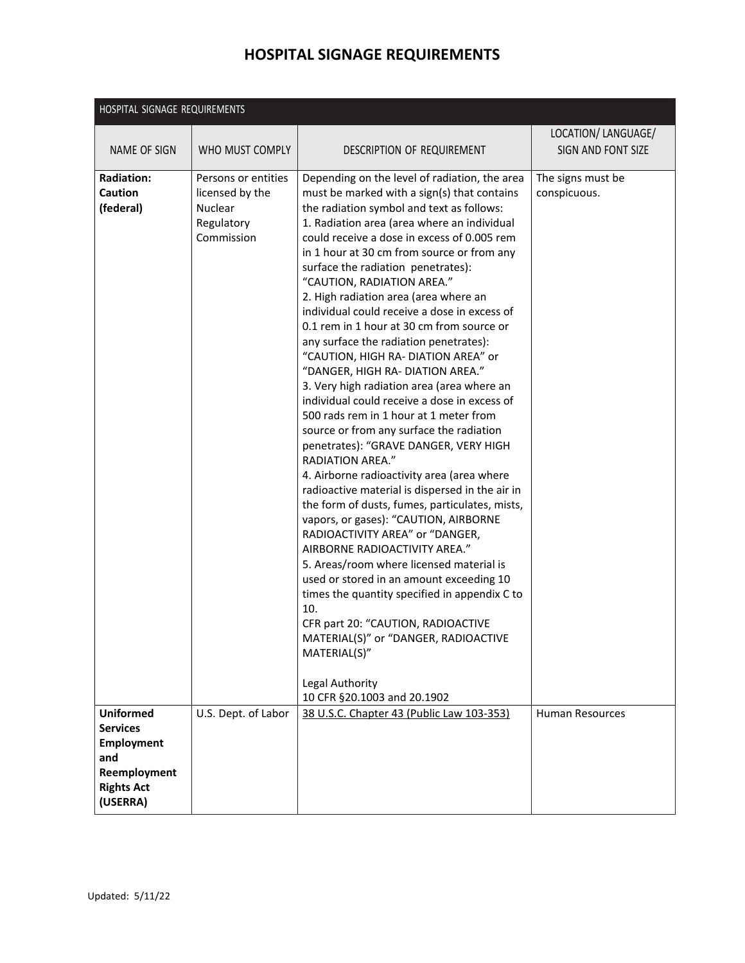| HOSPITAL SIGNAGE REQUIREMENTS                                                                                    |                                                                               |                                                                                                                                                                                                                                                                                                                                                                                                                                                                                                                                                                                                                                                                                                                                                                                                                                                                                                                                                                                                                                                                                                                                                                                                                                                                                                                                                                                                                                              |                                           |
|------------------------------------------------------------------------------------------------------------------|-------------------------------------------------------------------------------|----------------------------------------------------------------------------------------------------------------------------------------------------------------------------------------------------------------------------------------------------------------------------------------------------------------------------------------------------------------------------------------------------------------------------------------------------------------------------------------------------------------------------------------------------------------------------------------------------------------------------------------------------------------------------------------------------------------------------------------------------------------------------------------------------------------------------------------------------------------------------------------------------------------------------------------------------------------------------------------------------------------------------------------------------------------------------------------------------------------------------------------------------------------------------------------------------------------------------------------------------------------------------------------------------------------------------------------------------------------------------------------------------------------------------------------------|-------------------------------------------|
| NAME OF SIGN                                                                                                     | WHO MUST COMPLY                                                               | DESCRIPTION OF REQUIREMENT                                                                                                                                                                                                                                                                                                                                                                                                                                                                                                                                                                                                                                                                                                                                                                                                                                                                                                                                                                                                                                                                                                                                                                                                                                                                                                                                                                                                                   | LOCATION/ LANGUAGE/<br>SIGN AND FONT SIZE |
| <b>Radiation:</b><br>Caution<br>(federal)                                                                        | Persons or entities<br>licensed by the<br>Nuclear<br>Regulatory<br>Commission | Depending on the level of radiation, the area<br>must be marked with a sign(s) that contains<br>the radiation symbol and text as follows:<br>1. Radiation area (area where an individual<br>could receive a dose in excess of 0.005 rem<br>in 1 hour at 30 cm from source or from any<br>surface the radiation penetrates):<br>"CAUTION, RADIATION AREA."<br>2. High radiation area (area where an<br>individual could receive a dose in excess of<br>0.1 rem in 1 hour at 30 cm from source or<br>any surface the radiation penetrates):<br>"CAUTION, HIGH RA- DIATION AREA" or<br>"DANGER, HIGH RA- DIATION AREA."<br>3. Very high radiation area (area where an<br>individual could receive a dose in excess of<br>500 rads rem in 1 hour at 1 meter from<br>source or from any surface the radiation<br>penetrates): "GRAVE DANGER, VERY HIGH<br><b>RADIATION AREA."</b><br>4. Airborne radioactivity area (area where<br>radioactive material is dispersed in the air in<br>the form of dusts, fumes, particulates, mists,<br>vapors, or gases): "CAUTION, AIRBORNE<br>RADIOACTIVITY AREA" or "DANGER,<br>AIRBORNE RADIOACTIVITY AREA."<br>5. Areas/room where licensed material is<br>used or stored in an amount exceeding 10<br>times the quantity specified in appendix C to<br>10.<br>CFR part 20: "CAUTION, RADIOACTIVE<br>MATERIAL(S)" or "DANGER, RADIOACTIVE<br>MATERIAL(S)"<br>Legal Authority<br>10 CFR §20.1003 and 20.1902 | The signs must be<br>conspicuous.         |
| <b>Uniformed</b><br><b>Services</b><br><b>Employment</b><br>and<br>Reemployment<br><b>Rights Act</b><br>(USERRA) | U.S. Dept. of Labor                                                           | 38 U.S.C. Chapter 43 (Public Law 103-353)                                                                                                                                                                                                                                                                                                                                                                                                                                                                                                                                                                                                                                                                                                                                                                                                                                                                                                                                                                                                                                                                                                                                                                                                                                                                                                                                                                                                    | Human Resources                           |